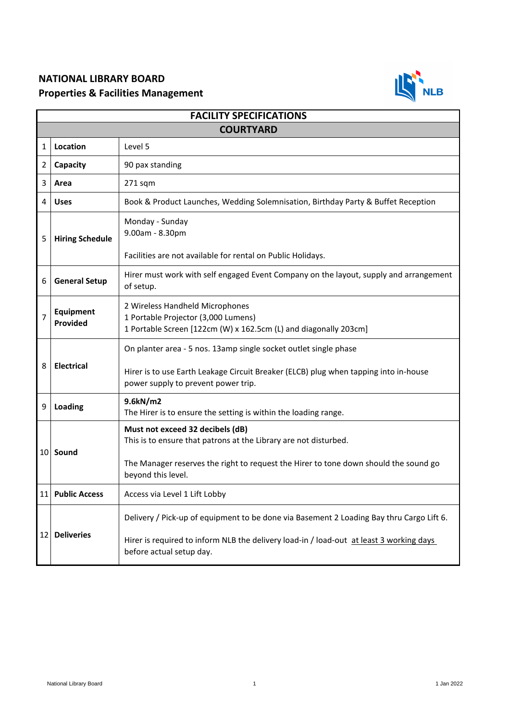## **NATIONAL LIBRARY BOARD Properties & Facilities Management**



| <b>FACILITY SPECIFICATIONS</b> |                              |                                                                                                                                                                                                                    |  |
|--------------------------------|------------------------------|--------------------------------------------------------------------------------------------------------------------------------------------------------------------------------------------------------------------|--|
| <b>COURTYARD</b>               |                              |                                                                                                                                                                                                                    |  |
| 1                              | Location                     | Level 5                                                                                                                                                                                                            |  |
| 2                              | Capacity                     | 90 pax standing                                                                                                                                                                                                    |  |
| 3                              | Area                         | $271$ sqm                                                                                                                                                                                                          |  |
| 4                              | <b>Uses</b>                  | Book & Product Launches, Wedding Solemnisation, Birthday Party & Buffet Reception                                                                                                                                  |  |
| 5                              | <b>Hiring Schedule</b>       | Monday - Sunday<br>9.00am - 8.30pm<br>Facilities are not available for rental on Public Holidays.                                                                                                                  |  |
| 6                              | <b>General Setup</b>         | Hirer must work with self engaged Event Company on the layout, supply and arrangement<br>of setup.                                                                                                                 |  |
| $\overline{7}$                 | <b>Equipment</b><br>Provided | 2 Wireless Handheld Microphones<br>1 Portable Projector (3,000 Lumens)<br>1 Portable Screen [122cm (W) x 162.5cm (L) and diagonally 203cm]                                                                         |  |
| 8                              | <b>Electrical</b>            | On planter area - 5 nos. 13amp single socket outlet single phase<br>Hirer is to use Earth Leakage Circuit Breaker (ELCB) plug when tapping into in-house<br>power supply to prevent power trip.                    |  |
| 9                              | Loading                      | 9.6kN/m2<br>The Hirer is to ensure the setting is within the loading range.                                                                                                                                        |  |
| 10                             | Sound                        | Must not exceed 32 decibels (dB)<br>This is to ensure that patrons at the Library are not disturbed.<br>The Manager reserves the right to request the Hirer to tone down should the sound go<br>beyond this level. |  |
| 11                             | <b>Public Access</b>         | Access via Level 1 Lift Lobby                                                                                                                                                                                      |  |
| 12                             | <b>Deliveries</b>            | Delivery / Pick-up of equipment to be done via Basement 2 Loading Bay thru Cargo Lift 6.<br>Hirer is required to inform NLB the delivery load-in / load-out at least 3 working days<br>before actual setup day.    |  |